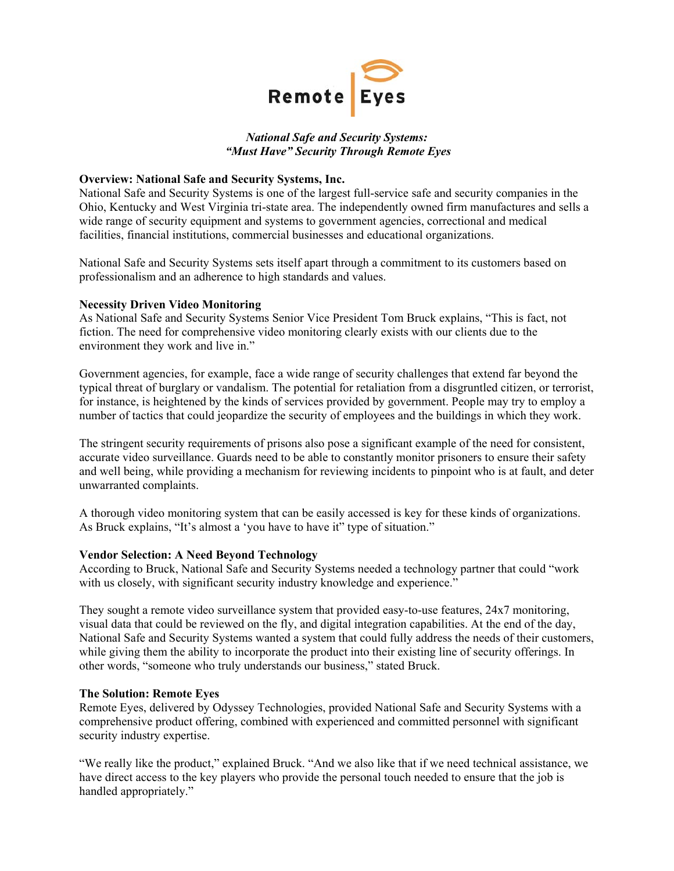

# *National Safe and Security Systems: "Must Have" Security Through Remote Eyes*

## **Overview: National Safe and Security Systems, Inc.**

National Safe and Security Systems is one of the largest full-service safe and security companies in the Ohio, Kentucky and West Virginia tri-state area. The independently owned firm manufactures and sells a wide range of security equipment and systems to government agencies, correctional and medical facilities, financial institutions, commercial businesses and educational organizations.

National Safe and Security Systems sets itself apart through a commitment to its customers based on professionalism and an adherence to high standards and values.

### **Necessity Driven Video Monitoring**

As National Safe and Security Systems Senior Vice President Tom Bruck explains, "This is fact, not fiction. The need for comprehensive video monitoring clearly exists with our clients due to the environment they work and live in."

Government agencies, for example, face a wide range of security challenges that extend far beyond the typical threat of burglary or vandalism. The potential for retaliation from a disgruntled citizen, or terrorist, for instance, is heightened by the kinds of services provided by government. People may try to employ a number of tactics that could jeopardize the security of employees and the buildings in which they work.

The stringent security requirements of prisons also pose a significant example of the need for consistent, accurate video surveillance. Guards need to be able to constantly monitor prisoners to ensure their safety and well being, while providing a mechanism for reviewing incidents to pinpoint who is at fault, and deter unwarranted complaints.

A thorough video monitoring system that can be easily accessed is key for these kinds of organizations. As Bruck explains, "It's almost a 'you have to have it" type of situation."

#### **Vendor Selection: A Need Beyond Technology**

According to Bruck, National Safe and Security Systems needed a technology partner that could "work with us closely, with significant security industry knowledge and experience."

They sought a remote video surveillance system that provided easy-to-use features, 24x7 monitoring, visual data that could be reviewed on the fly, and digital integration capabilities. At the end of the day, National Safe and Security Systems wanted a system that could fully address the needs of their customers, while giving them the ability to incorporate the product into their existing line of security offerings. In other words, "someone who truly understands our business," stated Bruck.

#### **The Solution: Remote Eyes**

Remote Eyes, delivered by Odyssey Technologies, provided National Safe and Security Systems with a comprehensive product offering, combined with experienced and committed personnel with significant security industry expertise.

"We really like the product," explained Bruck. "And we also like that if we need technical assistance, we have direct access to the key players who provide the personal touch needed to ensure that the job is handled appropriately."